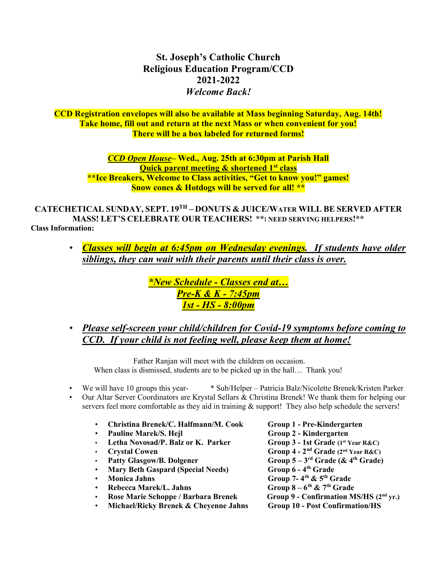St. Joseph's Catholic Church Religious Education Program/CCD 2021-2022 Welcome Back!

CCD Registration envelopes will also be available at Mass beginning Saturday, Aug. 14th! Take home, fill out and return at the next Mass or when convenient for you! There will be a box labeled for returned forms!

> CCD Open House– Wed., Aug. 25th at 6:30pm at Parish Hall Quick parent meeting & shortened 1<sup>st</sup> class \*\*Ice Breakers, Welcome to Class activities, "Get to know you!" games! Snow cones & Hotdogs will be served for all! \*\*

CATECHETICAL SUNDAY, SEPT. 19TH – DONUTS & JUICE/WATER WILL BE SERVED AFTER MASS! LET'S CELEBRATE OUR TEACHERS! \*\*I NEED SERVING HELPERS!\*\*

Class Information:

• Classes will begin at 6:45pm on Wednesday evenings. If students have older siblings, they can wait with their parents until their class is over.

> \*New Schedule - Classes end at… Pre-K & K - 7:45pm 1st - HS - 8:00pm

• Please self-screen your child/children for Covid-19 symptoms before coming to CCD. If your child is not feeling well, please keep them at home!

 Father Ranjan will meet with the children on occasion. When class is dismissed, students are to be picked up in the hall... Thank you!

- We will have 10 groups this year- \* Sub/Helper Patricia Balz/Nicolette Brenek/Kristen Parker
- Our Altar Server Coordinators are Krystal Sellars & Christina Brenek! We thank them for helping our servers feel more comfortable as they aid in training & support! They also help schedule the servers!
	- Christina Brenek/C. Halfmann/M. Cook Group 1 Pre-Kindergarten
	-
	- Letha Novosad/P. Balz or K. Parker Group 3 1st Grade (1st Year R&C)
	-
	-
	- Mary Beth Gaspard (Special Needs) Group 6 4<sup>th</sup> Grade
	-
	-
	-
	- Michael/Ricky Brenek & Cheyenne Jahns Group 10 Post Confirmation/HS

Pauline Marek/S. Hejl Group 2 - Kindergarten  $C$ rystal Cowen Group 4 - 2<sup>nd</sup> Grade (2<sup>nd</sup> Year R&C) Patty Glasgow/B. Dolgener Group  $5-3^{rd}$  Grade ( $\&$  4<sup>th</sup> Grade) **• Monica Jahns Group 7-4th & 5th Grade Rebecca Marek/L. Jahns** Group  $8-6$ <sup>th</sup> &  $7$ <sup>th</sup> Grade • Rose Marie Schoppe / Barbara Brenek Group 9 - Confirmation MS/HS (2nd yr.)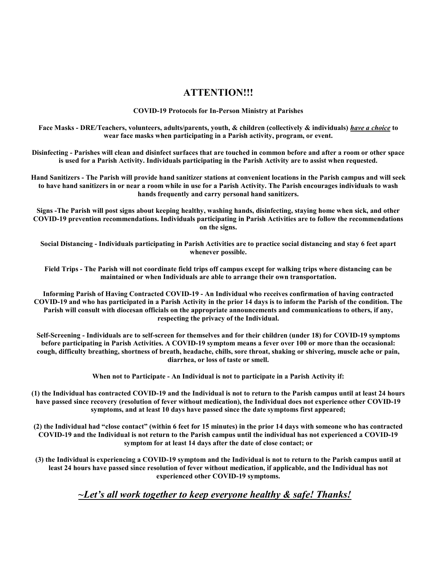### ATTENTION!!!

COVID-19 Protocols for In-Person Ministry at Parishes

Face Masks - DRE/Teachers, volunteers, adults/parents, youth, & children (collectively & individuals) have a choice to wear face masks when participating in a Parish activity, program, or event.

Disinfecting - Parishes will clean and disinfect surfaces that are touched in common before and after a room or other space is used for a Parish Activity. Individuals participating in the Parish Activity are to assist when requested.

Hand Sanitizers - The Parish will provide hand sanitizer stations at convenient locations in the Parish campus and will seek to have hand sanitizers in or near a room while in use for a Parish Activity. The Parish encourages individuals to wash hands frequently and carry personal hand sanitizers.

Signs -The Parish will post signs about keeping healthy, washing hands, disinfecting, staying home when sick, and other COVID-19 prevention recommendations. Individuals participating in Parish Activities are to follow the recommendations on the signs.

Social Distancing - Individuals participating in Parish Activities are to practice social distancing and stay 6 feet apart whenever possible.

Field Trips - The Parish will not coordinate field trips off campus except for walking trips where distancing can be maintained or when Individuals are able to arrange their own transportation.

Informing Parish of Having Contracted COVID-19 - An Individual who receives confirmation of having contracted COVID-19 and who has participated in a Parish Activity in the prior 14 days is to inform the Parish of the condition. The Parish will consult with diocesan officials on the appropriate announcements and communications to others, if any, respecting the privacy of the Individual.

Self-Screening - Individuals are to self-screen for themselves and for their children (under 18) for COVID-19 symptoms before participating in Parish Activities. A COVID-19 symptom means a fever over 100 or more than the occasional: cough, difficulty breathing, shortness of breath, headache, chills, sore throat, shaking or shivering, muscle ache or pain, diarrhea, or loss of taste or smell.

When not to Participate - An Individual is not to participate in a Parish Activity if:

(1) the Individual has contracted COVID-19 and the Individual is not to return to the Parish campus until at least 24 hours have passed since recovery (resolution of fever without medication), the Individual does not experience other COVID-19 symptoms, and at least 10 days have passed since the date symptoms first appeared;

(2) the Individual had "close contact" (within 6 feet for 15 minutes) in the prior 14 days with someone who has contracted COVID-19 and the Individual is not return to the Parish campus until the individual has not experienced a COVID-19 symptom for at least 14 days after the date of close contact; or

(3) the Individual is experiencing a COVID-19 symptom and the Individual is not to return to the Parish campus until at least 24 hours have passed since resolution of fever without medication, if applicable, and the Individual has not experienced other COVID-19 symptoms.

 $\sim$ Let's all work together to keep everyone healthy & safe! Thanks!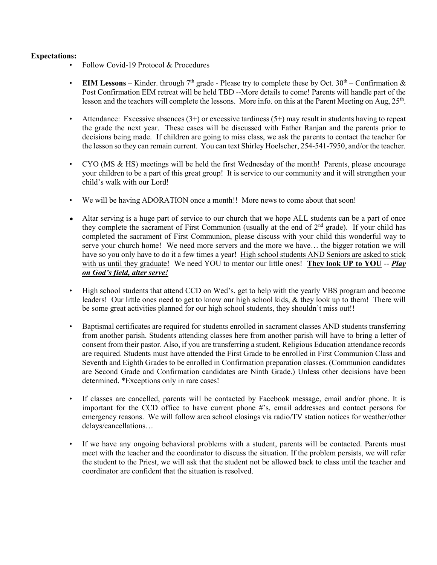#### Expectations:

- Follow Covid-19 Protocol & Procedures
- EIM Lessons Kinder. through 7<sup>th</sup> grade Please try to complete these by Oct.  $30<sup>th</sup>$  Confirmation & Post Confirmation EIM retreat will be held TBD --More details to come! Parents will handle part of the lesson and the teachers will complete the lessons. More info. on this at the Parent Meeting on Aug, 25<sup>th</sup>.
- Attendance: Excessive absences  $(3+)$  or excessive tardiness  $(5+)$  may result in students having to repeat the grade the next year. These cases will be discussed with Father Ranjan and the parents prior to decisions being made. If children are going to miss class, we ask the parents to contact the teacher for the lesson so they can remain current. You can text Shirley Hoelscher, 254-541-7950, and/or the teacher.
- CYO (MS & HS) meetings will be held the first Wednesday of the month! Parents, please encourage your children to be a part of this great group! It is service to our community and it will strengthen your child's walk with our Lord!
- We will be having ADORATION once a month!! More news to come about that soon!
- Altar serving is a huge part of service to our church that we hope ALL students can be a part of once they complete the sacrament of First Communion (usually at the end of  $2<sup>nd</sup>$  grade). If your child has completed the sacrament of First Communion, please discuss with your child this wonderful way to serve your church home! We need more servers and the more we have… the bigger rotation we will have so you only have to do it a few times a year! High school students AND Seniors are asked to stick with us until they graduate! We need YOU to mentor our little ones! They look UP to YOU -- Play on God's field, alter serve!
- High school students that attend CCD on Wed's. get to help with the yearly VBS program and become leaders! Our little ones need to get to know our high school kids, & they look up to them! There will be some great activities planned for our high school students, they shouldn't miss out!!
- Baptismal certificates are required for students enrolled in sacrament classes AND students transferring from another parish. Students attending classes here from another parish will have to bring a letter of consent from their pastor. Also, if you are transferring a student, Religious Education attendance records are required. Students must have attended the First Grade to be enrolled in First Communion Class and Seventh and Eighth Grades to be enrolled in Confirmation preparation classes. (Communion candidates are Second Grade and Confirmation candidates are Ninth Grade.) Unless other decisions have been determined. \*Exceptions only in rare cases!
- If classes are cancelled, parents will be contacted by Facebook message, email and/or phone. It is important for the CCD office to have current phone #'s, email addresses and contact persons for emergency reasons. We will follow area school closings via radio/TV station notices for weather/other delays/cancellations…
- If we have any ongoing behavioral problems with a student, parents will be contacted. Parents must meet with the teacher and the coordinator to discuss the situation. If the problem persists, we will refer the student to the Priest, we will ask that the student not be allowed back to class until the teacher and coordinator are confident that the situation is resolved.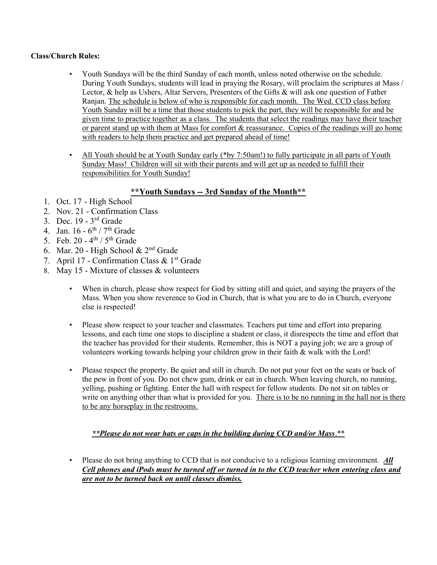#### Class/Church Rules:

- Youth Sundays will be the third Sunday of each month, unless noted otherwise on the schedule. During Youth Sundays, students will lead in praying the Rosary, will proclaim the scriptures at Mass / Lector, & help as Ushers, Altar Servers, Presenters of the Gifts & will ask one question of Father Ranjan. The schedule is below of who is responsible for each month. The Wed. CCD class before Youth Sunday will be a time that those students to pick the part, they will be responsible for and be given time to practice together as a class. The students that select the readings may have their teacher or parent stand up with them at Mass for comfort & reassurance. Copies of the readings will go home with readers to help them practice and get prepared ahead of time!
- All Youth should be at Youth Sunday early (\*by 7:50am!) to fully participate in all parts of Youth Sunday Mass! Children will sit with their parents and will get up as needed to fulfill their responsibilities for Youth Sunday!

## \*\*Youth Sundays -- 3rd Sunday of the Month\*\*

- 1. Oct. 17 High School
- 2. Nov. 21 Confirmation Class
- 3. Dec. 19 3rd Grade
- 4. Jan.  $16 6^{th} / 7^{th}$  Grade
- 5. Feb. 20  $4^{th}$  /  $5^{th}$  Grade
- 6. Mar. 20 High School &  $2<sup>nd</sup>$  Grade
- 7. April 17 Confirmation Class &  $1<sup>st</sup>$  Grade
- 8. May 15 Mixture of classes & volunteers
	- When in church, please show respect for God by sitting still and quiet, and saying the prayers of the Mass. When you show reverence to God in Church, that is what you are to do in Church, everyone else is respected!
	- Please show respect to your teacher and classmates. Teachers put time and effort into preparing lessons, and each time one stops to discipline a student or class, it disrespects the time and effort that the teacher has provided for their students. Remember, this is NOT a paying job; we are a group of volunteers working towards helping your children grow in their faith & walk with the Lord!
	- Please respect the property. Be quiet and still in church. Do not put your feet on the seats or back of the pew in front of you. Do not chew gum, drink or eat in church. When leaving church, no running, yelling, pushing or fighting. Enter the hall with respect for fellow students. Do not sit on tables or write on anything other than what is provided for you. There is to be no running in the hall nor is there to be any horseplay in the restrooms.

### \*\*Please do not wear hats or caps in the building during CCD and/or Mass.\*\*

Please do not bring anything to CCD that is not conducive to a religious learning environment. All Cell phones and iPods must be turned off or turned in to the CCD teacher when entering class and are not to be turned back on until classes dismiss.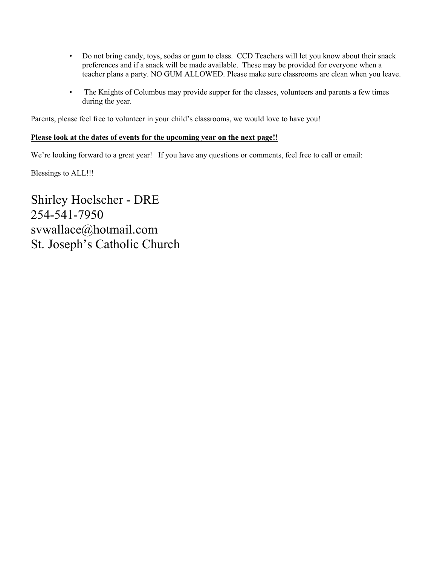- Do not bring candy, toys, sodas or gum to class. CCD Teachers will let you know about their snack preferences and if a snack will be made available. These may be provided for everyone when a teacher plans a party. NO GUM ALLOWED. Please make sure classrooms are clean when you leave.
- The Knights of Columbus may provide supper for the classes, volunteers and parents a few times during the year.

Parents, please feel free to volunteer in your child's classrooms, we would love to have you!

#### Please look at the dates of events for the upcoming year on the next page!!

We're looking forward to a great year! If you have any questions or comments, feel free to call or email:

Blessings to ALL!!!

Shirley Hoelscher - DRE 254-541-7950 svwallace@hotmail.com St. Joseph's Catholic Church